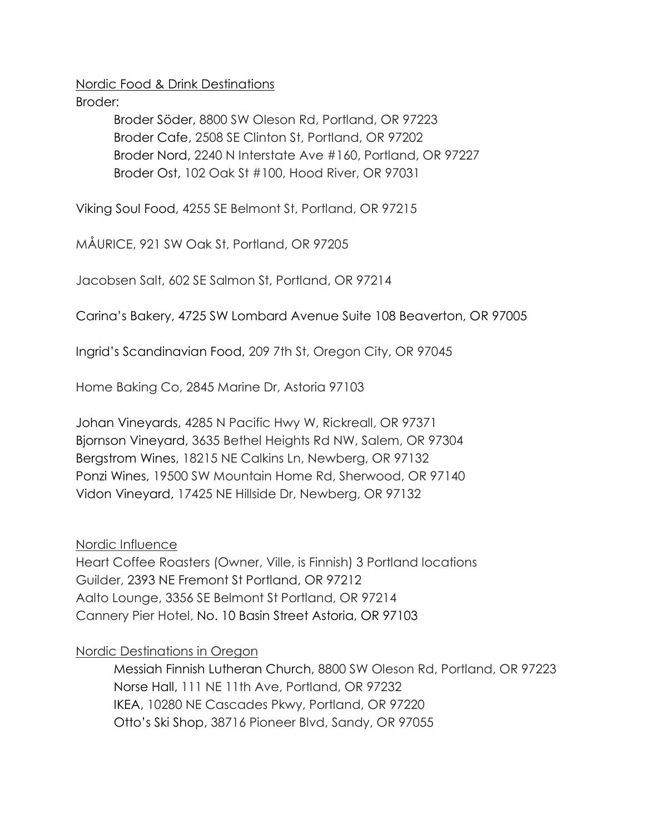Nordic Food & Drink Destinations

Broder:

Broder Söder, 8800 SW Oleson Rd, Portland, OR 97223 Broder Cafe, 2508 SE Clinton St, Portland, OR 97202 Broder Nord, 2240 N Interstate Ave #160, Portland, OR 97227 Broder Ost, 102 Oak St #100, Hood River, OR 97031

Viking Soul Food, 4255 SE Belmont St, Portland, OR 97215

MÅURICE, 921 SW Oak St, Portland, OR 97205

Jacobsen Salt, 602 SE Salmon St, Portland, OR 97214

Carina's Bakery, 4725 SW Lombard Avenue Suite 108 Beaverton, OR 97005

Ingrid's Scandinavian Food, 209 7th St, Oregon City, OR 97045

Home Baking Co, 2845 Marine Dr, Astoria 97103

Johan Vineyards, 4285 N Pacific Hwy W, Rickreall, OR 97371 Bjornson Vineyard, 3635 Bethel Heights Rd NW, Salem, OR 97304 Bergstrom Wines, 18215 NE Calkins Ln, Newberg, OR 97132 Ponzi Wines, 19500 SW Mountain Home Rd, Sherwood, OR 97140 Vidon Vineyard, 17425 NE Hillside Dr, Newberg, OR 97132

Nordic Influence

Heart Coffee Roasters (Owner, Ville, is Finnish) 3 Portland locations Guilder, 2393 NE Fremont St Portland, OR 97212 Aalto Lounge, 3356 SE Belmont St Portland, OR 97214 Cannery Pier Hotel, No. 10 Basin Street Astoria, OR 97103

Nordic Destinations in Oregon

Messiah Finnish Lutheran Church, 8800 SW Oleson Rd, Portland, OR 97223 Norse Hall, 111 NE 11th Ave, Portland, OR 97232 IKEA, 10280 NE Cascades Pkwy, Portland, OR 97220 Otto's Ski Shop, 38716 Pioneer Blvd, Sandy, OR 97055